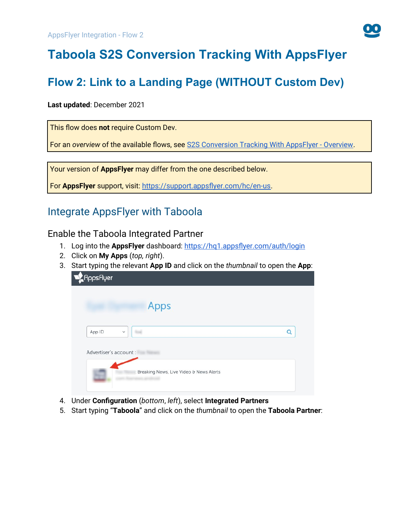

# **Taboola S2S Conversion Tracking With AppsFlyer**

# **Flow 2: Link to a Landing Page (WITHOUT Custom Dev)**

#### **Last updated**: December 2021

This flow does **not** require Custom Dev.

For an *overview* of the available flows, see [S2S Conversion Tracking With AppsFlyer - Overview](https://help.taboola.com/hc/en-us/articles/1500002864342).

Your version of **AppsFlyer** may differ from the one described below.

For **AppsFlyer** support, visit: <https://support.appsflyer.com/hc/en-us>.

# Integrate AppsFlyer with Taboola

<span id="page-0-0"></span>Enable the Taboola Integrated Partner

- 1. Log into the **AppsFlyer** dashboard: <https://hq1.appsflyer.com/auth/login>
- 2. Click on **My Apps** (*top, right*).
- 3. Start typing the relevant **App ID** and click on the *thumbnail* to open the **App**:

| App ID<br>$\checkmark$ |  | O |
|------------------------|--|---|
| Advertiser's account : |  |   |

- 4. Under **Configuration** (*bottom*, *left*), select **Integrated Partners**
- 5. Start typing "**Taboola**" and click on the *thumbnail* to open the **Taboola Partner**: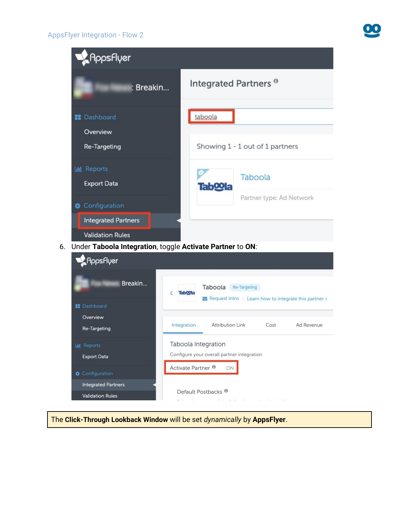



The **Click-Through Lookback Window** will be set *dynamically* by **AppsFlyer**.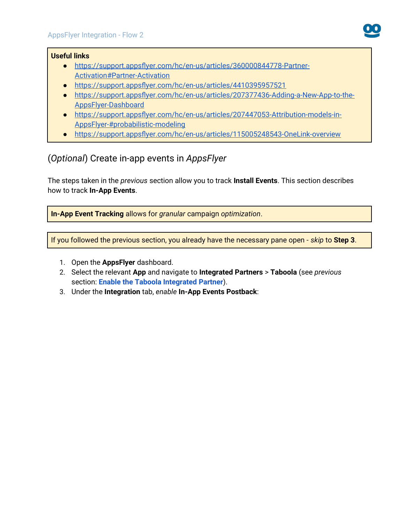#### **Useful links**

- ● [https://support.appsflyer.com/hc/en-us/articles/360000844778-Partner-](https://support.appsflyer.com/hc/en-us/articles/360000844778-Partner-Activation#Partner-Activation)[Activation#Partner-Activation](https://support.appsflyer.com/hc/en-us/articles/360000844778-Partner-Activation#Partner-Activation)
- <https://support.appsflyer.com/hc/en-us/articles/4410395957521>
- [https://support.appsflyer.com/hc/en-us/articles/207377436-Adding-a-New-App-to-the-](https://support.appsflyer.com/hc/en-us/articles/207377436-Adding-a-New-App-to-the-AppsFlyer-Dashboard)[AppsFlyer-Dashboard](https://support.appsflyer.com/hc/en-us/articles/207377436-Adding-a-New-App-to-the-AppsFlyer-Dashboard)
- [https://support.appsflyer.com/hc/en-us/articles/207447053-Attribution-models-in-](https://support.appsflyer.com/hc/en-us/articles/207447053-Attribution-models-in-AppsFlyer-#probabilistic-modeling)[AppsFlyer-#probabilistic-modeling](https://support.appsflyer.com/hc/en-us/articles/207447053-Attribution-models-in-AppsFlyer-#probabilistic-modeling)
- <https://support.appsflyer.com/hc/en-us/articles/115005248543-OneLink-overview>

### <span id="page-2-0"></span>(*Optional*) Create in-app events in *AppsFlyer*

The steps taken in the *previous* section allow you to track **Install Events**. This section describes how to track **In-App Events**.

**In-App Event Tracking** allows for *granular* campaign *optimization*.

If you followed the previous section, you already have the necessary pane open - *skip* to **Step 3**.

- 1. Open the **AppsFlyer** dashboard.
- 2. Select the relevant **App** and navigate to **Integrated Partners** > **Taboola** (see *previous*  section: **[Enable the Taboola Integrated Partner](#page-0-0)**).
- 3. Under the **Integration** tab, *enable* **In-App Events Postback**: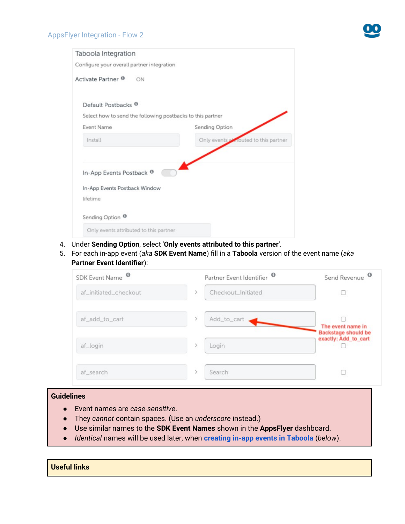

## Taboola Integration Configure your overall partner integration Activate Partner <sup>®</sup> ON Default Postbacks<sup><sup>0</sup></sup> Select how to send the following postbacks to this partner **Event Name** Sending Option Install Only events anbuted to this partner In-App Events Postback <sup>®</sup> In-App Events Postback Window lifetime Sending Option <sup>O</sup> Only events attributed to this partner

- 4. Under **Sending Option**, select '**Only events attributed to this partner**'.
- 5. For each in-app event (*aka* **SDK Event Name**) fill in a **Taboola** version of the event name (*aka* **Partner Event Identifier**):

| SDK Event Name <sup>O</sup> | Partner Event Identifier <sup><sup>®</sup></sup> | Send Revenue                                    |
|-----------------------------|--------------------------------------------------|-------------------------------------------------|
| af_initiated_checkout       | Checkout_Initiated                               |                                                 |
| af_add_to_cart              | Add_to_cart                                      | The event name in<br><b>Backstage should be</b> |
| af_login                    | Login                                            | exactly: Add to cart                            |
| af_search                   | Search                                           |                                                 |

#### **Guidelines**

- Event names are *case-sensitive*.
- They *cannot* contain spaces. (Use an *underscore* instead.)
- Use similar names to the **SDK Event Names** shown in the **AppsFlyer** dashboard.
- *Identical* names will be used later, when **[creating in-app events in Taboola](#page-7-0)** (*below*).

| <b>Useful links</b> |  |  |  |  |  |
|---------------------|--|--|--|--|--|
|---------------------|--|--|--|--|--|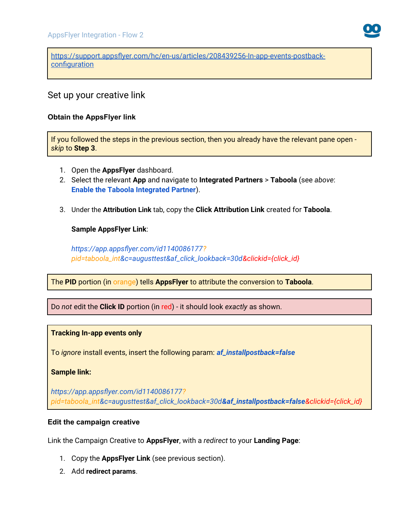

[https://support.appsflyer.com/hc/en-us/articles/208439256-In-app-events-postback](https://support.appsflyer.com/hc/en-us/articles/208439256-In-app-events-postback-configuration)[configuration](https://support.appsflyer.com/hc/en-us/articles/208439256-In-app-events-postback-configuration)

### Set up your creative link

#### **Obtain the AppsFlyer link**

If you followed the steps in the previous section, then you already have the relevant pane open *skip* to **Step 3**.

- 1. Open the **AppsFlyer** dashboard.
- 2. Select the relevant **App** and navigate to **Integrated Partners** > **Taboola** (see *above*: **[Enable the Taboola Integrated Partner](#page-0-0)**).
- 3. Under the **Attribution Link** tab, copy the **Click Attribution Link** created for **Taboola**.

#### **Sample AppsFlyer Link**:

*https://app.appsflyer.com/id1140086177? pid=taboola\_int&c=augusttest&af\_click\_lookback=30d&clickid={click\_id}*

The **PID** portion (in orange) tells **AppsFlyer** to attribute the conversion to **Taboola**.

Do *not* edit the **Click ID** portion (in red) - it should look *exactly* as shown.

#### **Tracking In-app events only**

To *ignore* install events, insert the following param: *af\_installpostback=false*

**Sample link:**

*https://app.appsflyer.com/id1140086177? pid=taboola\_int&c=augusttest&af\_click\_lookback=30d&af\_installpostback=false&clickid={click\_id}*

#### **Edit the campaign creative**

Link the Campaign Creative to **AppsFlyer**, with a *redirect* to your **Landing Page**:

- 1. Copy the **AppsFlyer Link** (see previous section).
- 2. Add **redirect params**.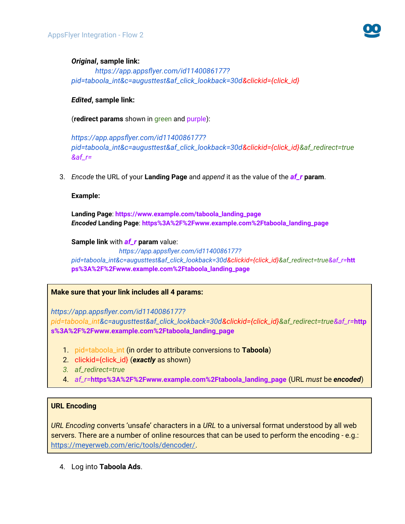

#### *Original***, sample link:**

*https://app.appsflyer.com/id1140086177? pid=taboola\_int&c=augusttest&af\_click\_lookback=30d&clickid={click\_id}*

#### *Edited***, sample link:**

(**redirect params** shown in green and purple):

*https://app.appsflyer.com/id1140086177? pid=taboola\_int&c=augusttest&af\_click\_lookback=30d&clickid={click\_id}&af\_redirect=true &af\_r=*

3. *Encode* the URL of your **Landing Page** and *append* it as the value of the *af\_r* **param**.

**Example:**

**Landing Page**: **https://www.example.com/taboola\_landing\_page** *Encoded* **Landing Page**: **https%3A%2F%2Fwww.example.com%2Ftaboola\_landing\_page**

**Sample link** with *af\_r* **param** value:

*https://app.appsflyer.com/id1140086177? pid=taboola\_int&c=augusttest&af\_click\_lookback=30d&clickid={click\_id}&af\_redirect=true&af\_r=***htt ps%3A%2F%2Fwww.example.com%2Ftaboola\_landing\_page**

#### **Make sure that your link includes all 4 params:**

*https://app.appsflyer.com/id1140086177?*

*pid=taboola\_int&c=augusttest&af\_click\_lookback=30d&clickid={click\_id}&af\_redirect=true&af\_r=***http s%3A%2F%2Fwww.example.com%2Ftaboola\_landing\_page**

- 1. pid=taboola\_int (in order to attribute conversions to **Taboola**)
- 2. clickid={click\_id} (*exactly* as shown)
- *3. af\_redirect=true*
- 4. *af\_r=***https%3A%2F%2Fwww.example.com%2Ftaboola\_landing\_page** (URL *must* be *encoded*)

#### **URL Encoding**

*URL Encoding* converts 'unsafe' characters in a *URL* to a universal format understood by all web servers. There are a number of online resources that can be used to perform the encoding - e.g.: <https://meyerweb.com/eric/tools/dencoder/>.

4. Log into **Taboola Ads**.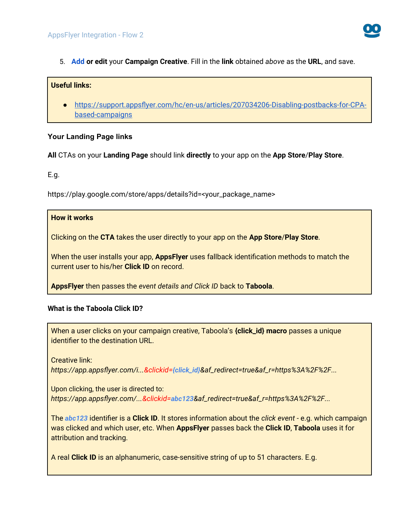

5. **[Add](https://help.taboola.com/hc/en-us/articles/360053153154-Add-Creative-Items-to-a-Campaign) or edit** your **Campaign Creative**. Fill in the **link** obtained *above* as the **URL**, and save.

#### **Useful links:**

● [https://support.appsflyer.com/hc/en-us/articles/207034206-Disabling-postbacks-for-CPA](https://support.appsflyer.com/hc/en-us/articles/207034206-Disabling-postbacks-for-CPA-based-campaigns)[based-campaigns](https://support.appsflyer.com/hc/en-us/articles/207034206-Disabling-postbacks-for-CPA-based-campaigns)

#### **Your Landing Page links**

**All** CTAs on your **Landing Page** should link **directly** to your app on the **App Store**/**Play Store**.

E.g.

https://play.google.com/store/apps/details?id=<your\_package\_name>

#### **How it works**

Clicking on the **CTA** takes the user directly to your app on the **App Store**/**Play Store**.

When the user installs your app, **AppsFlyer** uses fallback identification methods to match the current user to his/her **Click ID** on record.

**AppsFlyer** then passes the *event details and Click ID* back to **Taboola**.

#### **What is the Taboola Click ID?**

When a user clicks on your campaign creative, Taboola's **{click\_id} macro** passes a unique identifier to the destination URL.

Creative link:

*https://app.appsflyer.com/i...&clickid=[{click\\_id](https://app.adjust.com/ABC123?taboola_click_id=%7Bclick_id)}&af\_redirect=true&af\_r=https%3A%2F%2F...*

Upon clicking, the user is directed to: *https://app.appsflyer.com/...&clickid=abc123&af\_redirect=true&af\_r=https%3A%2F%2F...*

The *abc123* identifier is a **Click ID**. It stores information about the *click event* - e.g. which campaign was clicked and which user, etc. When **AppsFlyer** passes back the **Click ID**, **Taboola** uses it for attribution and tracking.

A real **Click ID** is an alphanumeric, case-sensitive string of up to 51 characters. E.g.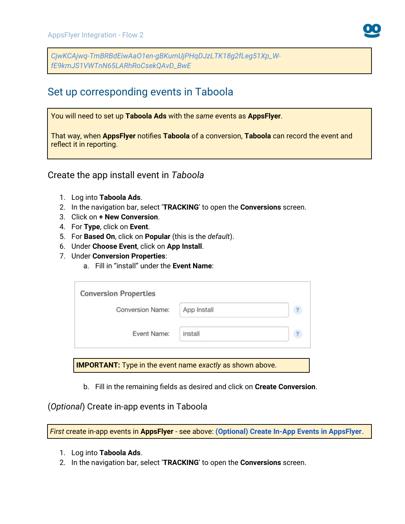*CjwKCAjwq-TmBRBdEiwAaO1en-gBKumUjPHqDJzLTK18g2fLeg51Xp\_WfE9kmJS1VWTnN65LARhRoCsekQAvD\_BwE*

# Set up corresponding events in Taboola

You will need to set up **Taboola Ads** with the *same* events as **AppsFlyer**.

That way, when **AppsFlyer** notifies **Taboola** of a conversion, **Taboola** can record the event and reflect it in reporting.

Create the app install event in *Taboola*

- 1. Log into **Taboola Ads**.
- 2. In the navigation bar, select '**TRACKING**' to open the **Conversions** screen.
- 3. Click on **+ New Conversion**.
- 4. For **Type**, click on **Event**.
- 5. For **Based On**, click on **Popular** (this is the *default*).
- 6. Under **Choose Event**, click on **App Install**.
- 7. Under **Conversion Properties**:
	- a. Fill in "install" under the **Event Name**:

| Conversion Name: | App Install |  |
|------------------|-------------|--|
| Event Name:      | install     |  |

**IMPORTANT:** Type in the event name *exactly* as shown above.

b. Fill in the remaining fields as desired and click on **Create Conversion**.

<span id="page-7-0"></span>(*Optional*) Create in-app events in Taboola

*First* create in-app events in **AppsFlyer** - see above: **[\(Optional\) Create In-App Events in AppsFlyer](#page-2-0)**.

- 1. Log into **Taboola Ads**.
- 2. In the navigation bar, select '**TRACKING**' to open the **Conversions** screen.

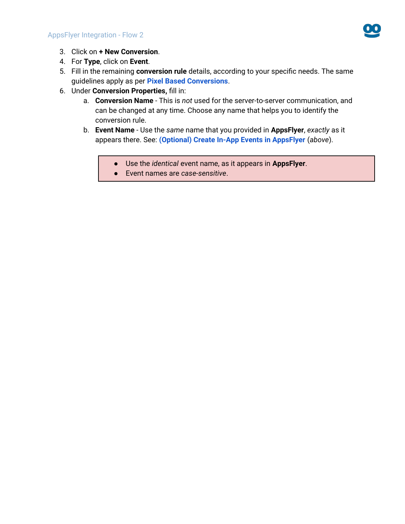

- 3. Click on **+ New Conversion**.
- 4. For **Type**, click on **Event**.
- 5. Fill in the remaining **conversion rule** details, according to your specific needs. The same guidelines apply as per **[Pixel Based Conversions](https://help.taboola.com/hc/en-us/articles/360003484314-Defining-and-Creating-Conversions)**.
- 6. Under **Conversion Properties,** fill in:
	- a. **Conversion Name** This is *not* used for the server-to-server communication, and can be changed at any time. Choose any name that helps you to identify the conversion rule.
	- b. **Event Name** Use the *same* name that you provided in **AppsFlyer**, *exactly* as it appears there. See: **[\(Optional\) Create In-App Events in AppsFlyer](#page-2-0)** (*above*).
		- Use the *identical* event name, as it appears in **AppsFlyer**.
		- Event names are *case-sensitive*.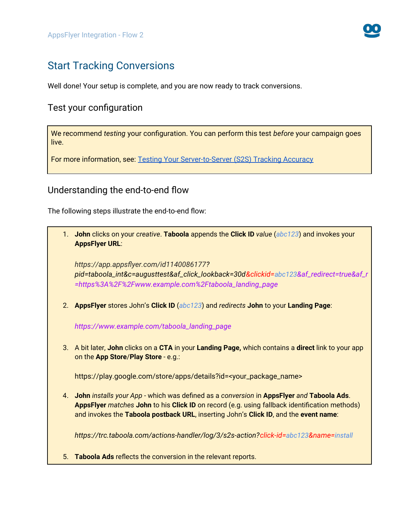

# Start Tracking Conversions

Well done! Your setup is complete, and you are now ready to track conversions.

### Test your configuration

We recommend *testing* your configuration. You can perform this test *before* your campaign goes live.

For more information, see: [Testing Your Server-to-Server \(S2S\) Tracking Accuracy](https://help.taboola.com/hc/en-us/articles/360046606733-Testing-Your-Server-to-Server-S2S-Tracking-Accuracy-)

### Understanding the end-to-end flow

The following steps illustrate the end-to-end flow:

1. **John** clicks on your *creative*. **Taboola** appends the **Click ID** *value* (*abc123*) and invokes your **AppsFlyer URL**:

*https://app.appsflyer.com/id1140086177? pid=taboola\_int&c=augusttest&af\_click\_lookback=30d&clickid=abc123&af\_redirect=true&af\_r =https%3A%2F%2Fwww.example.com%2Ftaboola\_landing\_page*

2. **AppsFlyer** stores John's **Click ID** (*abc123*) and *redirects* **John** to your **Landing Page**:

*https://www.example.com/taboola\_landing\_page*

3. A bit later, **John** clicks on a **CTA** in your **Landing Page,** which contains a **direct** link to your app on the **App Store**/**Play Store** - e.g.:

https://play.google.com/store/apps/details?id=<your\_package\_name>

4. **John** *installs your App* - which was defined as a *conversion* in **AppsFlyer** *and* **Taboola Ads**. **AppsFlyer** *matches* **John** to his **Click ID** on record (e.g. using fallback identification methods) and invokes the **Taboola postback URL**, inserting John's **Click ID**, and the **event name**:

*https://trc.taboola.com/actions-handler/log/3/s2s-action?click-id=abc123&name=install*

5. **Taboola Ads** reflects the conversion in the relevant reports.